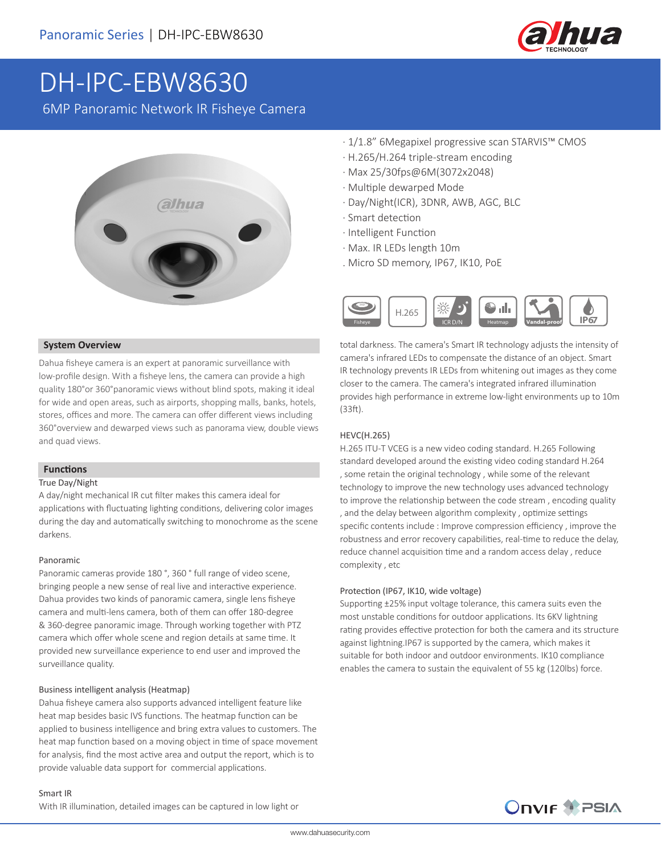

# DH-IPC-EBW8630

6MP Panoramic Network IR Fisheye Camera



#### **System Overview**

Dahua fisheye camera is an expert at panoramic surveillance with low-profile design. With a fisheye lens, the camera can provide a high quality 180°or 360°panoramic views without blind spots, making it ideal for wide and open areas, such as airports, shopping malls, banks, hotels, stores, offices and more. The camera can offer different views including 360°overview and dewarped views such as panorama view, double views and quad views.

#### **Functions**

#### True Day/Night

A day/night mechanical IR cut filter makes this camera ideal for applications with fluctuating lighting conditions, delivering color images during the day and automatically switching to monochrome as the scene darkens.

#### Panoramic

Panoramic cameras provide 180 °, 360 ° full range of video scene, bringing people a new sense of real live and interactive experience. Dahua provides two kinds of panoramic camera, single lens fisheye camera and multi-lens camera, both of them can offer 180-degree & 360-degree panoramic image. Through working together with PTZ camera which offer whole scene and region details at same time. It provided new surveillance experience to end user and improved the surveillance quality.

#### Business intelligent analysis (Heatmap)

Dahua fisheye camera also supports advanced intelligent feature like heat map besides basic IVS functions. The heatmap function can be applied to business intelligence and bring extra values to customers. The heat map function based on a moving object in time of space movement for analysis, find the most active area and output the report, which is to provide valuable data support for commercial applications.

- · 1/1.8" 6Megapixel progressive scan STARVIS™ CMOS
- · H.265/H.264 triple-stream encoding
- · Max 25/30fps@6M(3072x2048)
- · Multiple dewarped Mode
- · Day/Night(ICR), 3DNR, AWB, AGC, BLC
- · Smart detection
- · Intelligent Function
- · Max. IR LEDs length 10m
- . Micro SD memory, IP67, IK10, PoE



total darkness. The camera's Smart IR technology adjusts the intensity of camera's infrared LEDs to compensate the distance of an object. Smart IR technology prevents IR LEDs from whitening out images as they come closer to the camera. The camera's integrated infrared illumination provides high performance in extreme low-light environments up to 10m (33ft).

#### HEVC(H.265)

H.265 ITU-T VCEG is a new video coding standard. H.265 Following standard developed around the existing video coding standard H.264 , some retain the original technology , while some of the relevant technology to improve the new technology uses advanced technology to improve the relationship between the code stream , encoding quality , and the delay between algorithm complexity , optimize settings specific contents include : Improve compression efficiency , improve the robustness and error recovery capabilities, real-time to reduce the delay, reduce channel acquisition time and a random access delay , reduce complexity , etc

#### Protection (IP67, IK10, wide voltage)

Supporting ±25% input voltage tolerance, this camera suits even the most unstable conditions for outdoor applications. Its 6KV lightning rating provides effective protection for both the camera and its structure against lightning.IP67 is supported by the camera, which makes it suitable for both indoor and outdoor environments. IK10 compliance enables the camera to sustain the equivalent of 55 kg (120lbs) force.

#### Smart IR

With IR illumination, detailed images can be captured in low light or

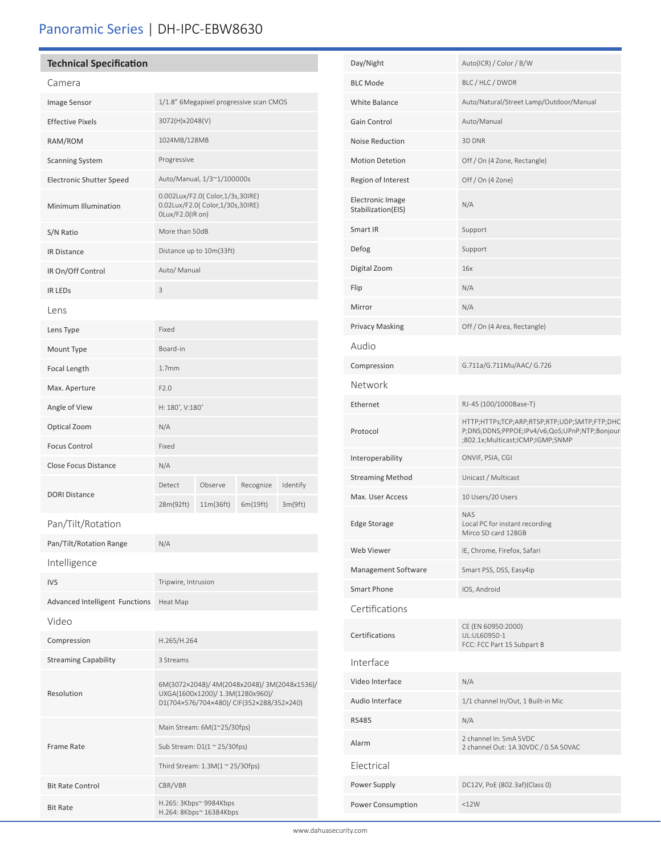### Panoramic Series | DH-IPC-EBW8630

#### **Technical Specification**

Frame Rate

Bit Rate Control CBR/VBR

Bit Rate H.265: 3Kbps~ 9984Kbps H.264: 8Kbps~ 16384Kbps

| Camera                          |                                                                                                                             |                      |                       |                     |
|---------------------------------|-----------------------------------------------------------------------------------------------------------------------------|----------------------|-----------------------|---------------------|
| Image Sensor                    | 1/1.8" 6Megapixel progressive scan CMOS                                                                                     |                      |                       |                     |
| <b>Effective Pixels</b>         | 3072(H)x2048(V)                                                                                                             |                      |                       |                     |
| RAM/ROM                         | 1024MB/128MB                                                                                                                |                      |                       |                     |
| <b>Scanning System</b>          | Progressive                                                                                                                 |                      |                       |                     |
| <b>Electronic Shutter Speed</b> | Auto/Manual, 1/3~1/100000s                                                                                                  |                      |                       |                     |
| Minimum Illumination            | 0.002Lux/F2.0( Color,1/3s,30IRE)<br>0.02Lux/F2.0( Color, 1/30s, 30IRE)<br>OLux/F2.0(IR on)                                  |                      |                       |                     |
| S/N Ratio                       | More than 50dB                                                                                                              |                      |                       |                     |
| <b>IR Distance</b>              | Distance up to 10m(33ft)                                                                                                    |                      |                       |                     |
| IR On/Off Control               | Auto/ Manual                                                                                                                |                      |                       |                     |
| <b>IR LEDS</b>                  | 3                                                                                                                           |                      |                       |                     |
| Lens                            |                                                                                                                             |                      |                       |                     |
| Lens Type                       | Fixed                                                                                                                       |                      |                       |                     |
| Mount Type                      | Board-in                                                                                                                    |                      |                       |                     |
| Focal Length                    | 1.7 <sub>mm</sub>                                                                                                           |                      |                       |                     |
| Max. Aperture                   | F2.0                                                                                                                        |                      |                       |                     |
| Angle of View                   | H: 180°, V:180°                                                                                                             |                      |                       |                     |
| Optical Zoom                    | N/A                                                                                                                         |                      |                       |                     |
| <b>Focus Control</b>            | Fixed                                                                                                                       |                      |                       |                     |
| <b>Close Focus Distance</b>     | N/A                                                                                                                         |                      |                       |                     |
| <b>DORI Distance</b>            | Detect<br>28m(92ft)                                                                                                         | Observe<br>11m(36ft) | Recognize<br>6m(19ft) | Identify<br>3m(9ft) |
| Pan/Tilt/Rotation               |                                                                                                                             |                      |                       |                     |
| Pan/Tilt/Rotation Range         | N/A                                                                                                                         |                      |                       |                     |
| Intelligence                    |                                                                                                                             |                      |                       |                     |
| <b>IVS</b>                      | Tripwire, Intrusion                                                                                                         |                      |                       |                     |
| Advanced Intelligent Functions  | Heat Map                                                                                                                    |                      |                       |                     |
| Video                           |                                                                                                                             |                      |                       |                     |
| Compression                     | H.265/H.264                                                                                                                 |                      |                       |                     |
| <b>Streaming Capability</b>     | 3 Streams                                                                                                                   |                      |                       |                     |
| Resolution                      | 6M(3072×2048)/4M(2048x2048)/3M(2048x1536)/<br>UXGA(1600x1200)/ 1.3M(1280x960)/<br>D1(704×576/704×480)/ CIF(352×288/352×240) |                      |                       |                     |

Main Stream: 6M(1~25/30fps) Sub Stream: D1(1 ~ 25/30fps) Third Stream:  $1.3M(1 \approx 25/30$ fps)

| White Balance                                 | Auto/Natural/Street Lamp/Outdoor/Manual                                                                                           |
|-----------------------------------------------|-----------------------------------------------------------------------------------------------------------------------------------|
| Gain Control                                  | Auto/Manual                                                                                                                       |
| <b>Noise Reduction</b>                        | 3D DNR                                                                                                                            |
| <b>Motion Detetion</b>                        | Off / On (4 Zone, Rectangle)                                                                                                      |
| Region of Interest                            | Off / On (4 Zone)                                                                                                                 |
| <b>Electronic Image</b><br>Stabilization(EIS) | N/A                                                                                                                               |
| Smart IR                                      | Support                                                                                                                           |
| Defog                                         | Support                                                                                                                           |
| Digital Zoom                                  | 16x                                                                                                                               |
| Flip                                          | N/A                                                                                                                               |
| Mirror                                        | N/A                                                                                                                               |
| Privacy Masking                               | Off / On (4 Area, Rectangle)                                                                                                      |
| Audio                                         |                                                                                                                                   |
| Compression                                   | G.711a/G.711Mu/AAC/ G.726                                                                                                         |
| Network                                       |                                                                                                                                   |
| Ethernet                                      | RJ-45 (100/1000Base-T)                                                                                                            |
| Protocol                                      | HTTP;HTTPs;TCP;ARP;RTSP;RTP;UDP;SMTP;FTP;DHC<br>P;DNS;DDNS;PPPOE;IPv4/v6;QoS;UPnP;NTP;Bonjour<br>;802.1x;Multicast;ICMP;IGMP;SNMP |
| Interoperability                              | ONVIF, PSIA, CGI                                                                                                                  |
| <b>Streaming Method</b>                       | Unicast / Multicast                                                                                                               |
| Max. User Access                              | 10 Users/20 Users                                                                                                                 |
| <b>Edge Storage</b>                           | NAS<br>Local PC for instant recording<br>Mirco SD card 128GB                                                                      |
| Web Viewer                                    | IE, Chrome, Firefox, Safari                                                                                                       |
| Management Software                           | Smart PSS, DSS, Easy4ip                                                                                                           |
| Smart Phone                                   | IOS, Android                                                                                                                      |
| Certifications                                |                                                                                                                                   |
| Certifications                                | CE (EN 60950:2000)<br>UL:UL60950-1<br>FCC: FCC Part 15 Subpart B                                                                  |
| Interface                                     |                                                                                                                                   |
| Video Interface                               | N/A                                                                                                                               |
| Audio Interface                               | 1/1 channel In/Out, 1 Built-in Mic                                                                                                |
| <b>RS485</b>                                  | N/A                                                                                                                               |
| Alarm                                         | 2 channel In: 5mA 5VDC<br>2 channel Out: 1A 30VDC / 0.5A 50VAC                                                                    |
| Electrical                                    |                                                                                                                                   |
| Power Supply                                  | DC12V, PoE (802.3af)(Class 0)                                                                                                     |
| Power Consumption                             | <12W                                                                                                                              |
|                                               |                                                                                                                                   |

Day/Night Auto(ICR) / Color / B/W BLC Mode BLC / HLC / DWDR